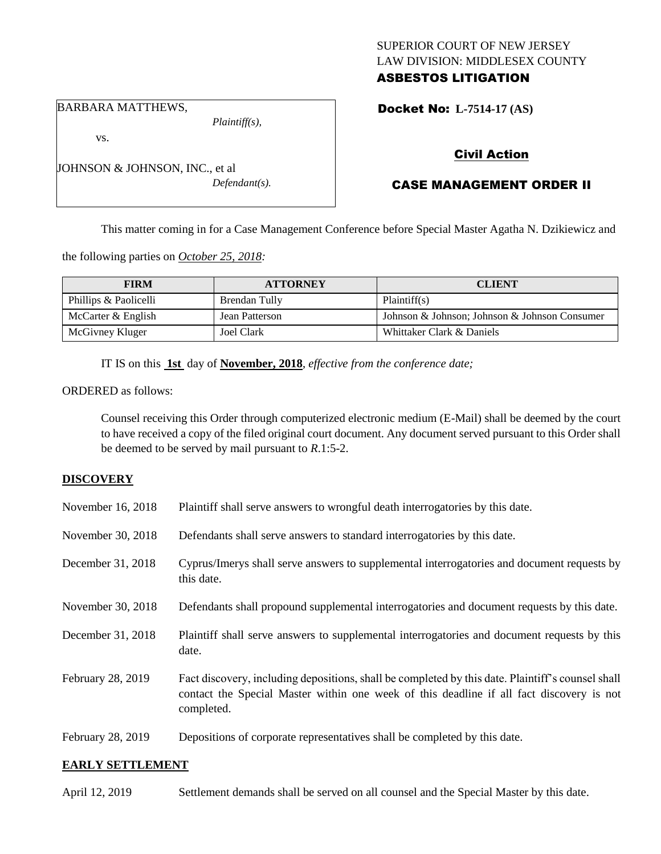## SUPERIOR COURT OF NEW JERSEY LAW DIVISION: MIDDLESEX COUNTY ASBESTOS LITIGATION

Docket No: **L-7514-17 (AS)** 

#### BARBARA MATTHEWS,

JOHNSON & JOHNSON, INC., et al

vs.

*Plaintiff(s),*

*Defendant(s).*

# Civil Action

# CASE MANAGEMENT ORDER II

This matter coming in for a Case Management Conference before Special Master Agatha N. Dzikiewicz and

the following parties on *October 25, 2018:*

| <b>FIRM</b>           | <b>ATTORNEY</b> | <b>CLIENT</b>                                 |
|-----------------------|-----------------|-----------------------------------------------|
| Phillips & Paolicelli | Brendan Tully   | Plaintiff(s)                                  |
| McCarter $&$ English  | Jean Patterson  | Johnson & Johnson; Johnson & Johnson Consumer |
| McGivney Kluger       | Joel Clark      | Whittaker Clark & Daniels                     |

IT IS on this **1st** day of **November, 2018**, *effective from the conference date;*

ORDERED as follows:

Counsel receiving this Order through computerized electronic medium (E-Mail) shall be deemed by the court to have received a copy of the filed original court document. Any document served pursuant to this Order shall be deemed to be served by mail pursuant to *R*.1:5-2.

### **DISCOVERY**

| November 16, 2018 | Plaintiff shall serve answers to wrongful death interrogatories by this date.                                                                                                                               |
|-------------------|-------------------------------------------------------------------------------------------------------------------------------------------------------------------------------------------------------------|
| November 30, 2018 | Defendants shall serve answers to standard interrogatories by this date.                                                                                                                                    |
| December 31, 2018 | Cyprus/Imerys shall serve answers to supplemental interrogatories and document requests by<br>this date.                                                                                                    |
| November 30, 2018 | Defendants shall propound supplemental interrogatories and document requests by this date.                                                                                                                  |
| December 31, 2018 | Plaintiff shall serve answers to supplemental interrogatories and document requests by this<br>date.                                                                                                        |
| February 28, 2019 | Fact discovery, including depositions, shall be completed by this date. Plaintiff's counsel shall<br>contact the Special Master within one week of this deadline if all fact discovery is not<br>completed. |
| February 28, 2019 | Depositions of corporate representatives shall be completed by this date.                                                                                                                                   |

### **EARLY SETTLEMENT**

April 12, 2019 Settlement demands shall be served on all counsel and the Special Master by this date.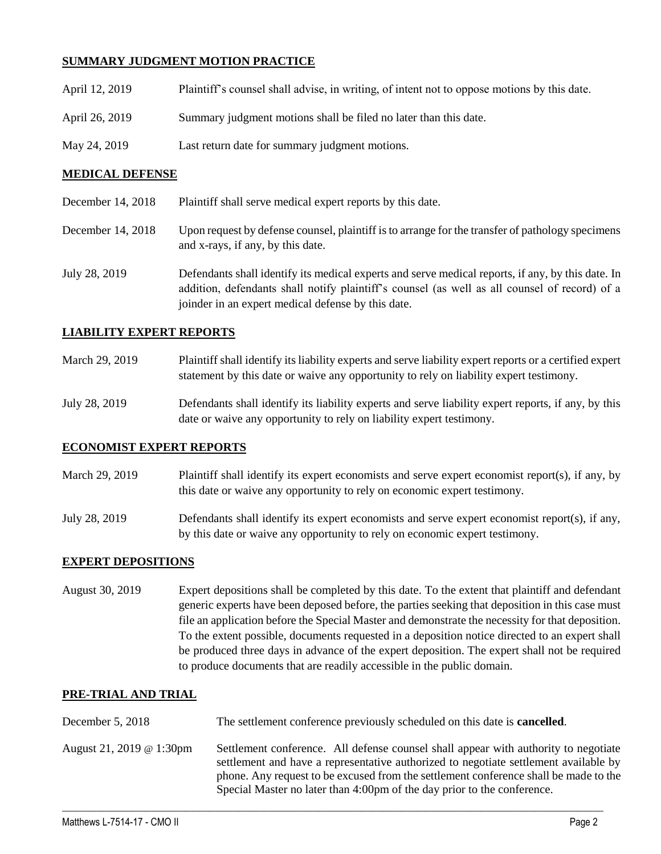## **SUMMARY JUDGMENT MOTION PRACTICE**

| April 12, 2019 | Plaintiff's counsel shall advise, in writing, of intent not to oppose motions by this date. |
|----------------|---------------------------------------------------------------------------------------------|
| April 26, 2019 | Summary judgment motions shall be filed no later than this date.                            |
| May 24, 2019   | Last return date for summary judgment motions.                                              |

### **MEDICAL DEFENSE**

| December 14, 2018 | Plaintiff shall serve medical expert reports by this date. |
|-------------------|------------------------------------------------------------|
|-------------------|------------------------------------------------------------|

- December 14, 2018 Upon request by defense counsel, plaintiff is to arrange for the transfer of pathology specimens and x-rays, if any, by this date.
- July 28, 2019 Defendants shall identify its medical experts and serve medical reports, if any, by this date. In addition, defendants shall notify plaintiff's counsel (as well as all counsel of record) of a joinder in an expert medical defense by this date.

### **LIABILITY EXPERT REPORTS**

| March 29, 2019 | Plaintiff shall identify its liability experts and serve liability expert reports or a certified expert |
|----------------|---------------------------------------------------------------------------------------------------------|
|                | statement by this date or waive any opportunity to rely on liability expert testimony.                  |

July 28, 2019 Defendants shall identify its liability experts and serve liability expert reports, if any, by this date or waive any opportunity to rely on liability expert testimony.

### **ECONOMIST EXPERT REPORTS**

- March 29, 2019 Plaintiff shall identify its expert economists and serve expert economist report(s), if any, by this date or waive any opportunity to rely on economic expert testimony.
- July 28, 2019 Defendants shall identify its expert economists and serve expert economist report(s), if any, by this date or waive any opportunity to rely on economic expert testimony.

### **EXPERT DEPOSITIONS**

August 30, 2019 Expert depositions shall be completed by this date. To the extent that plaintiff and defendant generic experts have been deposed before, the parties seeking that deposition in this case must file an application before the Special Master and demonstrate the necessity for that deposition. To the extent possible, documents requested in a deposition notice directed to an expert shall be produced three days in advance of the expert deposition. The expert shall not be required to produce documents that are readily accessible in the public domain.

### **PRE-TRIAL AND TRIAL**

| December 5, 2018         | The settlement conference previously scheduled on this date is <b>cancelled</b> .                                                                                                                                                                                                                                                              |
|--------------------------|------------------------------------------------------------------------------------------------------------------------------------------------------------------------------------------------------------------------------------------------------------------------------------------------------------------------------------------------|
| August 21, 2019 @ 1:30pm | Settlement conference. All defense counsel shall appear with authority to negotiate<br>settlement and have a representative authorized to negotiate settlement available by<br>phone. Any request to be excused from the settlement conference shall be made to the<br>Special Master no later than 4:00pm of the day prior to the conference. |